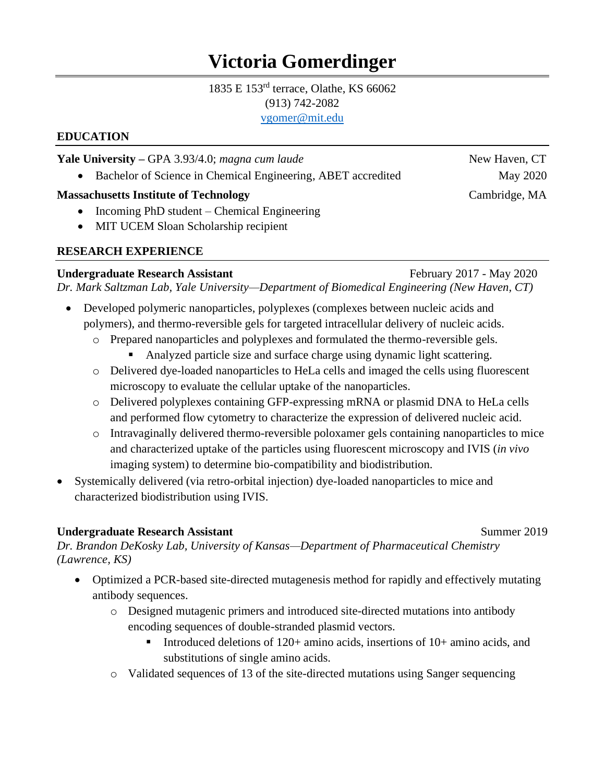# **Victoria Gomerdinger**

# 1835 E 153rd terrace, Olathe, KS 66062 (913) 742-2082

#### [vgomer@mit.edu](mailto:vgomer@mit.edu)

# **EDUCATION**

#### **Yale University –** GPA 3.93/4.0; *magna cum laude* **New Haven, CT**

• Bachelor of Science in Chemical Engineering, ABET accredited May 2020

# **Massachusetts Institute of Technology Cambridge, MA**

- Incoming PhD student Chemical Engineering
- MIT UCEM Sloan Scholarship recipient

# **RESEARCH EXPERIENCE**

# **Undergraduate Research Assistant** February 2017 - May 2020

*Dr. Mark Saltzman Lab, Yale University—Department of Biomedical Engineering (New Haven, CT)*

- Developed polymeric nanoparticles, polyplexes (complexes between nucleic acids and polymers), and thermo-reversible gels for targeted intracellular delivery of nucleic acids.
	- o Prepared nanoparticles and polyplexes and formulated the thermo-reversible gels.
		- Analyzed particle size and surface charge using dynamic light scattering.
	- o Delivered dye-loaded nanoparticles to HeLa cells and imaged the cells using fluorescent microscopy to evaluate the cellular uptake of the nanoparticles.
	- o Delivered polyplexes containing GFP-expressing mRNA or plasmid DNA to HeLa cells and performed flow cytometry to characterize the expression of delivered nucleic acid.
	- o Intravaginally delivered thermo-reversible poloxamer gels containing nanoparticles to mice and characterized uptake of the particles using fluorescent microscopy and IVIS (*in vivo* imaging system) to determine bio-compatibility and biodistribution.
- Systemically delivered (via retro-orbital injection) dye-loaded nanoparticles to mice and characterized biodistribution using IVIS.

# **Undergraduate Research Assistant**  Summer 2019

*Dr. Brandon DeKosky Lab, University of Kansas—Department of Pharmaceutical Chemistry (Lawrence, KS)*

- Optimized a PCR-based site-directed mutagenesis method for rapidly and effectively mutating antibody sequences.
	- o Designed mutagenic primers and introduced site-directed mutations into antibody encoding sequences of double-stranded plasmid vectors.
		- Introduced deletions of 120+ amino acids, insertions of  $10+$  amino acids, and substitutions of single amino acids.
	- o Validated sequences of 13 of the site-directed mutations using Sanger sequencing